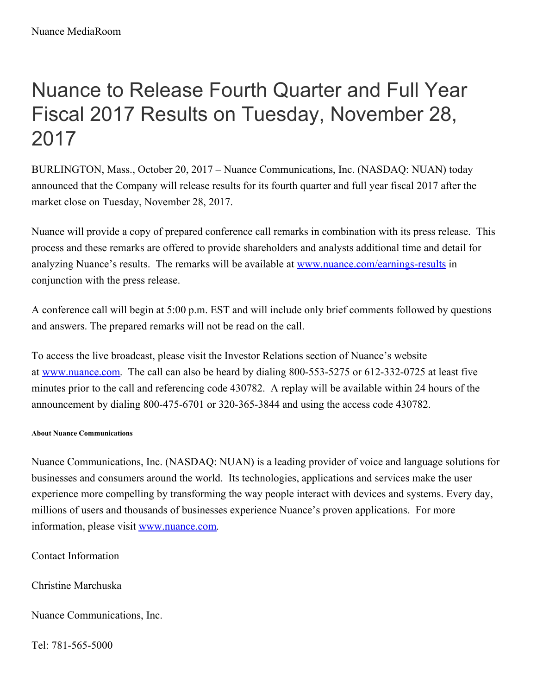## Nuance to Release Fourth Quarter and Full Year Fiscal 2017 Results on Tuesday, November 28, 2017

BURLINGTON, Mass., October 20, 2017 – Nuance Communications, Inc. (NASDAQ: NUAN) today announced that the Company will release results for its fourth quarter and full year fiscal 2017 after the market close on Tuesday, November 28, 2017.

Nuance will provide a copy of prepared conference call remarks in combination with its press release. This process and these remarks are offered to provide shareholders and analysts additional time and detail for analyzing Nuance's results. The remarks will be available at [www.nuance.com/earnings-results](http://www.nuance.com/earnings-results) in conjunction with the press release.

A conference call will begin at 5:00 p.m. EST and will include only brief comments followed by questions and answers. The prepared remarks will not be read on the call.

To access the live broadcast, please visit the Investor Relations section of Nuance's website at [www.nuance.com](http://www.nuance.com/). The call can also be heard by dialing 800-553-5275 or 612-332-0725 at least five minutes prior to the call and referencing code 430782. A replay will be available within 24 hours of the announcement by dialing 800-475-6701 or 320-365-3844 and using the access code 430782.

## **About Nuance Communications**

Nuance Communications, Inc. (NASDAQ: NUAN) is a leading provider of voice and language solutions for businesses and consumers around the world. Its technologies, applications and services make the user experience more compelling by transforming the way people interact with devices and systems. Every day, millions of users and thousands of businesses experience Nuance's proven applications. For more information, please visit [www.nuance.com](http://www.nuance.com/).

Contact Information

Christine Marchuska

Nuance Communications, Inc.

Tel: 781-565-5000